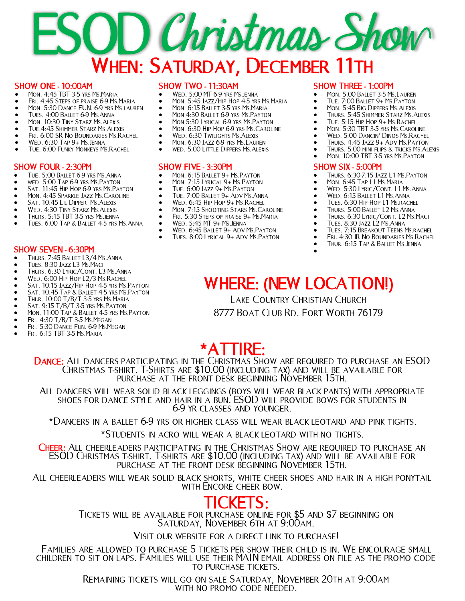## **SOD Christmas Show** WHEN: SATURDAY, DECEMBER 11TH

#### SHOW ONE - 10:00AM

- Mon. 4:45 TBT 3-5 yrs Ms.Maria
- FRI. 4:45 STEPS OF PRAISE 6-9 MS. MARIA
- Mon. 5:30 Dance FUN. 6-9 yrs Ms.lauren
- Tues. 4:00 Ballet 6-9 Ms.Anna
- Mon. 10:30 Tiny Starz Ms.Alexis
- Tue.4:45 Shimmer Starz Ms.Alexis • Fri. 6:00 SR No Boundaries Ms.Rachel
- Wed. 6:30 Tap 9+ Ms.Jenna
- 
- TUE. 6:00 FUNKY MONKEYS MS. RACHEL

#### SHOW FOUR - 2:30PM

- Tue. 5:00 Ballet 6-9 yrs Ms.Anna
- wed. 5:00 Tap 6-9 yrs Ms.Payton
- SAT. 11:45 HIP HOP 6-9 YRS MS. PAYTON
- MON. 4:45 SPARKLE JAZZ MS. CAROLINE
- Sat. 10:45 Lil Dipper Ms.Alexis
- Wed. 4:30 Tiny Starz Ms.Alexis
- Thurs. 5:15 TBT 3-5 yrs Ms.jenna
- Tues. 6:00 Tap & Ballet 4-5 yrs Ms.Anna

#### SHOW SEVEN - 6:30PM

- Thurs. 7:45 Ballet L3/4 Ms.Anna
- Tues. 8:30 Jazz L3 Ms.Maci
- Thurs. 6:30 Lyric/Cont. L3 Ms.Anna
- Wed. 6:00 Hip Hop L2/3 Ms.Rachel
- SAT. 10:15 JAZZ/HIP HOP 4-5 YRS MS. PAYTON
- SAT. 10:45 TAP & BALLET 4-5 YRS MS. PAYTON
- Thur. 10:00 T/B/T 3-5 yrs Ms.Maria
- Sat. 9:15 T/B/T 3-5 yrs Ms.Payton
- Mon. 11:00 Tap & Ballet 4-5 yrs Ms.Payton
- Fri. 4:30 T/B/T 3-5 Ms.Megan
- Fri. 5:30 Dance Fun. 6-9 Ms.Megan
- Fri. 6:15 TBT 3-5 Ms.Maria

#### SHOW TWO - 11:30AM

- WED. 5:00 MT 6-9 YRS MS.JENNA
- Mon. 5:45 Jazz/Hip Hop 4-5 yrs Ms. Maria
- MON. 6:15 BALLET 3-5 YRS MS. MARIA
- MON 4:30 BALLET 6-9 YRS MS. PAYTON
- MON 5:30 LYRICAL 6-9 YRS MS.PAYTON<br>• MON 6:30 HIP HOP 6-9 YRS MS CAROLL
- Mon. 6:30 Hip Hop 6-9 yrs Ms.Caroline
- Wed. 6:30 Twilights Ms.Alexis
- Mon. 6:30 Jazz 6-9 yrs Ms.Lauren
- wed. 5:00 Little Dippers Ms.Alexis

#### SHOW FIVE - 3:30PM

- Mon. 6:15 Ballet 9+ Ms.Payton
- Mon. 7:15 Lyrical 9+ Ms.Payton
- Tue. 6:00 Jazz 9+ Ms.Payton
- Tue. 7:00 Ballet 9+ Adv Ms.Anna
- Wed. 6:45 Hip Hop 9+ Ms.Rachel
- MON. 7:15 SHOOTING STARS MS. CAROLINE
- FRI. 5:30 STEPS OF PRAISE 9+ MS. MARIA
- Wed. 5:45 MT 9+ Ms.Jenna
- WED. 6:45 BALLET 9+ ADV MS. PAYTON
- Tues. 8:00 Lyrical 9+ Adv Ms.Payton

#### SHOW THREE - 1:00PM

- Mon. 5:00 Ballet 3-5 Ms.Lauren
- Tue. 7:00 Ballet 9+ Ms.Payton
- Mon. 5:45 Big Dippers Ms.Alexis
- Thurs. 5:45 Shimmer Starz Ms.Alexis
- Tue. 5:15 Hip Hop 9+ Ms.Rachel
- MON. 5:30 TBT 3-5 YRS MS. CAROLINE
- Wed. 5:00 Dancin' Dinos Ms.Rachel
- Thurs. 4:45 Jazz 9+ Adv Ms.Payton
- Thurs. 5:00 mini flips & tricks Ms.Alexis
- Mon. 10:00 TBT 3-5 yrs Ms.Payton

#### SHOW SIX - 5:00PM

- Thurs. 6:30-7:15 Jazz L1 Ms.Payton
- Mon. 6:45 Tap L1 Ms.Maria
- Wed. 5:30 Lyric/Cont. L1 Ms.Anna
- WED. 6:15 BALLET L1 MS. ANNA
- Tues. 6:30 Hip Hop L1 Ms.rachel
- Thurs. 5:00 Ballet L2 Ms.Anna
- **THURS. 6:30 LYRIC/CONT. L2 MS.MACI**
- Tues. 8:30 Jazz L2 Ms.Anna
- Tues. 7:15 Breakout Teens Ms.rachel
- FRI. 4:30 JR NO BOUNDARIES MS. RACHEL
- Thur. 6:15 Tap & Ballet Ms.Jenna
- •

## WHERE: (NEW LOCATION!)

Lake Country Christian Church 8777 Boat Club Rd. Fort Worth 76179

### \*ATTIRE:

DANCE: ALL DANCERS PARTICIPATING IN THE CHRISTMAS SHOW ARE REQUIRED TO PURCHASE AN ESOD Christmas t-shirt. T-Shirts are \$10.00 (including tax) and will be available for purchase at the front desk beginning November 15th.

All dancers will wear solid black leggings (boys will wear black pants) with appropriate shoes for dance style and hair in a bun. ESOD will provide bows for students in 6-9 yr classes and younger.

\*Dancers in a ballet 6-9 yrs or higher class will wear black leotard and pink tights.

\*Students in acro will wear a black leotard with no tights.

CHEER: ALL CHEERLEADERS PARTICIPATING IN THE CHRISTMAS SHOW ARE REQUIRED TO PURCHASE AN ESOD Christmas t-shirt. T-shirts are \$10.00 (including tax) and will be available for purchase at the front desk beginning November 15th.

All cheerleaders will wear solid black shorts, white cheer shoes and hair in a high ponytail with Encore cheer bow.

## CKETS:

Tickets will be available for purchase online for \$5 and \$7 beginning on Saturday, November 6th at 9:00am.

Visit our website for a direct link to purchase!

Families are allowed to purchase 5 tickets per show their child is in. We encourage small children to sit on laps. Families will use their MAIN email address on file as the promo code to purchase tickets.

> Remaining tickets will go on sale Saturday, November 20th at 9:00am with no promo code needed.